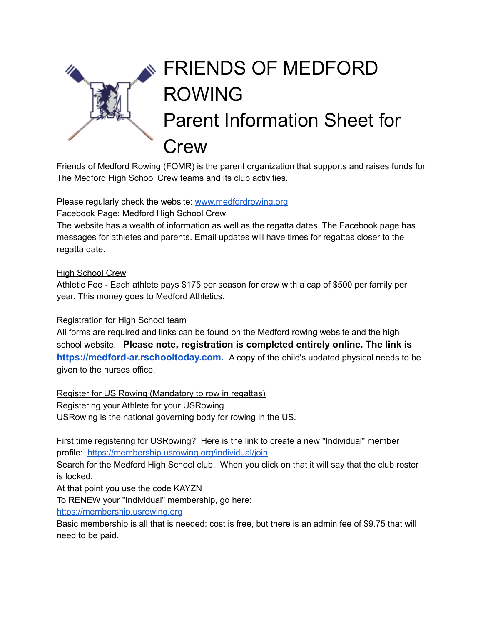

Friends of Medford Rowing (FOMR) is the parent organization that supports and raises funds for The Medford High School Crew teams and its club activities.

Please regularly check the website: [www.medfordrowing.org](http://www.medfordrowing.org)

Facebook Page: Medford High School Crew

The website has a wealth of information as well as the regatta dates. The Facebook page has messages for athletes and parents. Email updates will have times for regattas closer to the regatta date.

### High School Crew

Athletic Fee - Each athlete pays \$175 per season for crew with a cap of \$500 per family per year. This money goes to Medford Athletics.

## Registration for High School team

All forms are required and links can be found on the Medford rowing website and the high school website. **Please note, registration is completed entirely online. The link is [https://medford-ar.rschooltoday.com](https://medford-ar.rschooltoday.com/).** A copy of the child's updated physical needs to be given to the nurses office.

Register for US Rowing (Mandatory to row in regattas) Registering your Athlete for your USRowing USRowing is the national governing body for rowing in the US.

First time registering for USRowing? Here is the link to create a new "Individual" member profile: <https://membership.usrowing.org/individual/join>

Search for the Medford High School club. When you click on that it will say that the club roster is locked.

At that point you use the code KAYZN

To RENEW your "Individual" membership, go here:

<https://membership.usrowing.org>

Basic membership is all that is needed: cost is free, but there is an admin fee of \$9.75 that will need to be paid.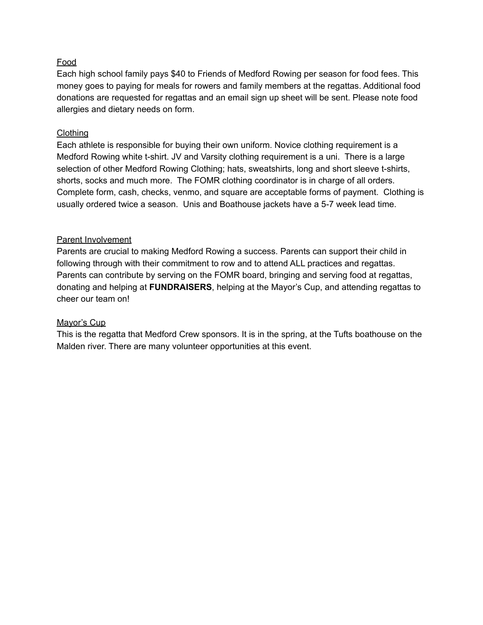## Food

Each high school family pays \$40 to Friends of Medford Rowing per season for food fees. This money goes to paying for meals for rowers and family members at the regattas. Additional food donations are requested for regattas and an email sign up sheet will be sent. Please note food allergies and dietary needs on form.

### **Clothing**

Each athlete is responsible for buying their own uniform. Novice clothing requirement is a Medford Rowing white t-shirt. JV and Varsity clothing requirement is a uni. There is a large selection of other Medford Rowing Clothing; hats, sweatshirts, long and short sleeve t-shirts, shorts, socks and much more. The FOMR clothing coordinator is in charge of all orders. Complete form, cash, checks, venmo, and square are acceptable forms of payment. Clothing is usually ordered twice a season. Unis and Boathouse jackets have a 5-7 week lead time.

### Parent Involvement

Parents are crucial to making Medford Rowing a success. Parents can support their child in following through with their commitment to row and to attend ALL practices and regattas. Parents can contribute by serving on the FOMR board, bringing and serving food at regattas, donating and helping at **FUNDRAISERS**, helping at the Mayor's Cup, and attending regattas to cheer our team on!

#### Mayor's Cup

This is the regatta that Medford Crew sponsors. It is in the spring, at the Tufts boathouse on the Malden river. There are many volunteer opportunities at this event.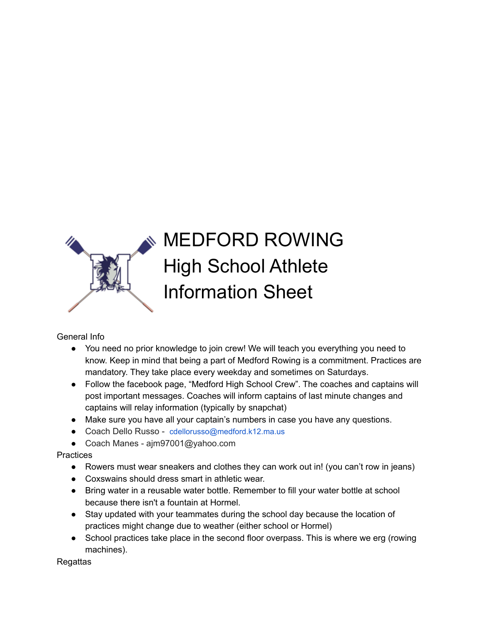

# MEDFORD ROWING High School Athlete Information Sheet

General Info

- You need no prior knowledge to join crew! We will teach you everything you need to know. Keep in mind that being a part of Medford Rowing is a commitment. Practices are mandatory. They take place every weekday and sometimes on Saturdays.
- Follow the facebook page, "Medford High School Crew". The coaches and captains will post important messages. Coaches will inform captains of last minute changes and captains will relay information (typically by snapchat)
- Make sure you have all your captain's numbers in case you have any questions.
- Coach Dello Russo cdellorusso@medford.k12.ma.us
- Coach Manes ajm97001@yahoo.com

**Practices** 

- Rowers must wear sneakers and clothes they can work out in! (you can't row in jeans)
- Coxswains should dress smart in athletic wear.
- Bring water in a reusable water bottle. Remember to fill your water bottle at school because there isn't a fountain at Hormel.
- Stay updated with your teammates during the school day because the location of practices might change due to weather (either school or Hormel)
- School practices take place in the second floor overpass. This is where we erg (rowing machines).

**Regattas**